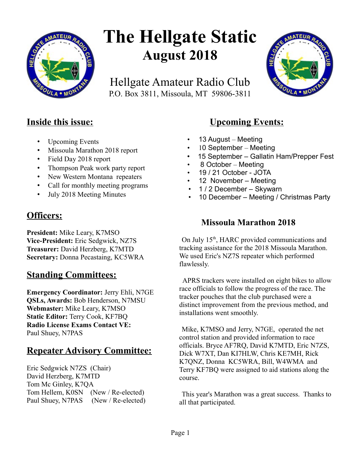

# **The Hellgate Static August 2018**

Hellgate Amateur Radio Club P.O. Box 3811, Missoula, MT 59806-3811



## **Inside this issue:**

- Upcoming Events
- Missoula Marathon 2018 report
- Field Day 2018 report
- Thompson Peak work party report
- New Western Montana repeaters
- Call for monthly meeting programs
- July 2018 Meeting Minutes

## **Officers:**

**President:** Mike Leary, K7MSO **Vice-President:** Eric Sedgwick, NZ7S **Treasurer:** David Herzberg, K7MTD **Secretary:** Donna Pecastaing, KC5WRA

## **Standing Committees:**

**Emergency Coordinator:** Jerry Ehli, N7GE **QSLs, Awards:** Bob Henderson, N7MSU **Webmaster:** Mike Leary, K7MSO **Static Editor:** Terry Cook, KF7BQ **Radio License Exams Contact VE:** Paul Shuey, N7PAS

# **Repeater Advisory Committee:**

Eric Sedgwick N7ZS (Chair) David Herzberg, K7MTD Tom Mc Ginley, K7QA Tom Hellem, K0SN (New / Re-elected) Paul Shuey, N7PAS (New / Re-elected)

# **Upcoming Events:**

- 13 August Meeting
- 10 September Meeting
- 15 September Gallatin Ham/Prepper Fest
- 8 October Meeting
- 19 / 21 October JOTA
- 12 November Meeting
- 1 / 2 December Skywarn
- 10 December Meeting / Christmas Party

## **Missoula Marathon 2018**

On July  $15<sup>th</sup>$ , HARC provided communications and tracking assistance for the 2018 Missoula Marathon. We used Eric's NZ7S repeater which performed flawlessly.

 APRS trackers were installed on eight bikes to allow race officials to follow the progress of the race. The tracker pouches that the club purchased were a distinct improvement from the previous method, and installations went smoothly.

Mike, K7MSO and Jerry, N7GE, operated the net control station and provided information to race officials. Bryce AF7RQ, David K7MTD, Eric N7ZS, Dick W7XT, Dan KI7HLW, Chris KE7MH, Rick K7QNZ, Donna KC5WRA, Bill, W4WMA and Terry KF7BQ were assigned to aid stations along the course.

This year's Marathon was a great success. Thanks to all that participated.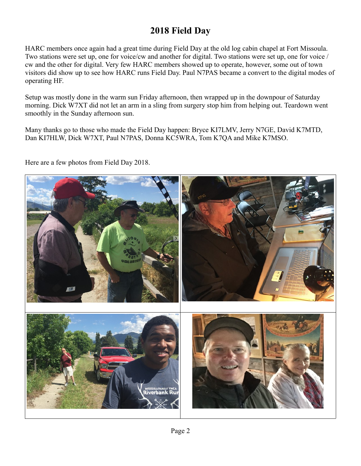# **2018 Field Day**

HARC members once again had a great time during Field Day at the old log cabin chapel at Fort Missoula. Two stations were set up, one for voice/cw and another for digital. Two stations were set up, one for voice / cw and the other for digital. Very few HARC members showed up to operate, however, some out of town visitors did show up to see how HARC runs Field Day. Paul N7PAS became a convert to the digital modes of operating HF.

Setup was mostly done in the warm sun Friday afternoon, then wrapped up in the downpour of Saturday morning. Dick W7XT did not let an arm in a sling from surgery stop him from helping out. Teardown went smoothly in the Sunday afternoon sun.

Many thanks go to those who made the Field Day happen: Bryce KI7LMV, Jerry N7GE, David K7MTD, Dan KI7HLW, Dick W7XT, Paul N7PAS, Donna KC5WRA, Tom K7QA and Mike K7MSO.

Here are a few photos from Field Day 2018.

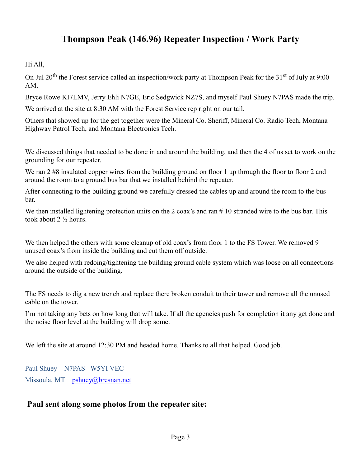# **Thompson Peak (146.96) Repeater Inspection / Work Party**

Hi All,

On Jul 20<sup>th</sup> the Forest service called an inspection/work party at Thompson Peak for the 31<sup>st</sup> of July at 9:00 AM.

Bryce Rowe KI7LMV, Jerry Ehli N7GE, Eric Sedgwick NZ7S, and myself Paul Shuey N7PAS made the trip.

We arrived at the site at 8:30 AM with the Forest Service rep right on our tail.

Others that showed up for the get together were the Mineral Co. Sheriff, Mineral Co. Radio Tech, Montana Highway Patrol Tech, and Montana Electronics Tech.

We discussed things that needed to be done in and around the building, and then the 4 of us set to work on the grounding for our repeater.

We ran 2 #8 insulated copper wires from the building ground on floor 1 up through the floor to floor 2 and around the room to a ground bus bar that we installed behind the repeater.

After connecting to the building ground we carefully dressed the cables up and around the room to the bus bar.

We then installed lightening protection units on the 2 coax's and ran #10 stranded wire to the bus bar. This took about 2 ½ hours.

We then helped the others with some cleanup of old coax's from floor 1 to the FS Tower. We removed 9 unused coax's from inside the building and cut them off outside.

We also helped with redoing/tightening the building ground cable system which was loose on all connections around the outside of the building.

The FS needs to dig a new trench and replace there broken conduit to their tower and remove all the unused cable on the tower.

I'm not taking any bets on how long that will take. If all the agencies push for completion it any get done and the noise floor level at the building will drop some.

We left the site at around 12:30 PM and headed home. Thanks to all that helped. Good job.

Paul Shuey N7PAS W5YI VEC Missoula, MT [pshuey@bresnan.net](mailto:pshuey@bresnan.net)

## **Paul sent along some photos from the repeater site:**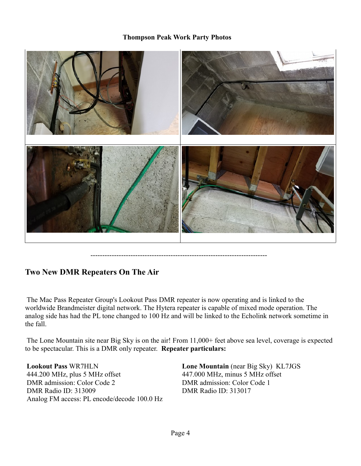#### **Thompson Peak Work Party Photos**



---------------------------------------------------------------------------

#### **Two New DMR Repeaters On The Air**

 The Mac Pass Repeater Group's Lookout Pass DMR repeater is now operating and is linked to the worldwide Brandmeister digital network. The Hytera repeater is capable of mixed mode operation. The analog side has had the PL tone changed to 100 Hz and will be linked to the Echolink network sometime in the fall.

 The Lone Mountain site near Big Sky is on the air! From 11,000+ feet above sea level, coverage is expected to be spectacular. This is a DMR only repeater. **Repeater particulars:**

**Lookout Pass** WR7HLN 444.200 MHz, plus 5 MHz offset DMR admission: Color Code 2 DMR Radio ID: 313009 Analog FM access: PL encode/decode 100.0 Hz **Lone Mountain** (near Big Sky) KL7JGS 447.000 MHz, minus 5 MHz offset DMR admission: Color Code 1 DMR Radio ID: 313017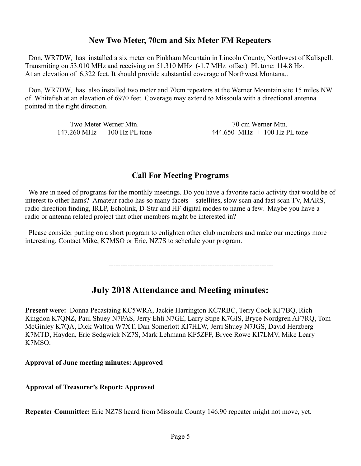## **New Two Meter, 70cm and Six Meter FM Repeaters**

 Don, WR7DW, has installed a six meter on Pinkham Mountain in Lincoln County, Northwest of Kalispell. Transmiting on 53.010 MHz and receiving on 51.310 MHz (-1.7 MHz offset) PL tone: 114.8 Hz. At an elevation of 6,322 feet. It should provide substantial coverage of Northwest Montana..

 Don, WR7DW, has also installed two meter and 70cm repeaters at the Werner Mountain site 15 miles NW of Whitefish at an elevation of 6970 feet. Coverage may extend to Missoula with a directional antenna pointed in the right direction.

> Two Meter Werner Mtn.  $147.260 \text{ MHz} + 100 \text{ Hz} \text{ PL}$  tone

70 cm Werner Mtn. 444.650 MHz  $+$  100 Hz PL tone

----------------------------------------------------------------------------------

### **Call For Meeting Programs**

We are in need of programs for the monthly meetings. Do you have a favorite radio activity that would be of interest to other hams? Amateur radio has so many facets – satellites, slow scan and fast scan TV, MARS, radio direction finding, IRLP, Echolink, D-Star and HF digital modes to name a few. Maybe you have a radio or antenna related project that other members might be interested in?

 Please consider putting on a short program to enlighten other club members and make our meetings more interesting. Contact Mike, K7MSO or Eric, NZ7S to schedule your program.

----------------------------------------------------------------------

## **July 2018 Attendance and Meeting minutes:**

**Present were:** Donna Pecastaing KC5WRA, Jackie Harrington KC7RBC, Terry Cook KF7BQ, Rich Kingdon K7QNZ, Paul Shuey N7PAS, Jerry Ehli N7GE, Larry Stipe K7GIS, Bryce Nordgren AF7RQ, Tom McGinley K7QA, Dick Walton W7XT, Dan Somerlott KI7HLW, Jerri Shuey N7JGS, David Herzberg K7MTD, Hayden, Eric Sedgwick NZ7S, Mark Lehmann KF5ZFF, Bryce Rowe KI7LMV, Mike Leary K7MSO.

**Approval of June meeting minutes: Approved**

**Approval of Treasurer's Report: Approved**

**Repeater Committee:** Eric NZ7S heard from Missoula County 146.90 repeater might not move, yet.